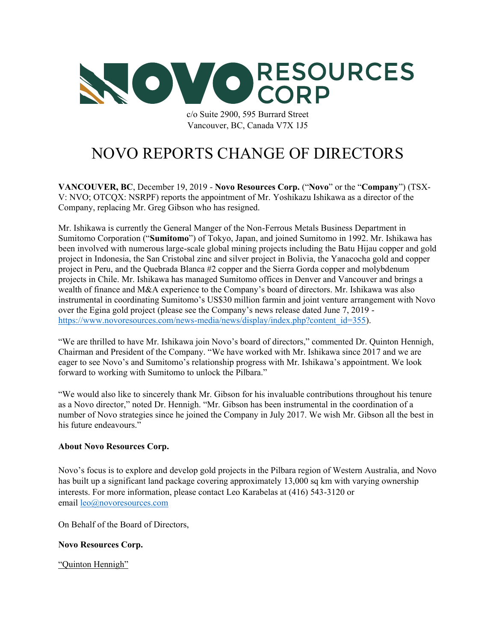

c/o Suite 2900, 595 Burrard Street Vancouver, BC, Canada V7X 1J5

## NOVO REPORTS CHANGE OF DIRECTORS

**VANCOUVER, BC**, December 19, 2019 - **Novo Resources Corp.** ("**Novo**" or the "**Company**") (TSX-V: NVO; OTCQX: NSRPF) reports the appointment of Mr. Yoshikazu Ishikawa as a director of the Company, replacing Mr. Greg Gibson who has resigned.

Mr. Ishikawa is currently the General Manger of the Non-Ferrous Metals Business Department in Sumitomo Corporation ("**Sumitomo**") of Tokyo, Japan, and joined Sumitomo in 1992. Mr. Ishikawa has been involved with numerous large-scale global mining projects including the Batu Hijau copper and gold project in Indonesia, the San Cristobal zinc and silver project in Bolivia, the Yanacocha gold and copper project in Peru, and the Quebrada Blanca #2 copper and the Sierra Gorda copper and molybdenum projects in Chile. Mr. Ishikawa has managed Sumitomo offices in Denver and Vancouver and brings a wealth of finance and M&A experience to the Company's board of directors. Mr. Ishikawa was also instrumental in coordinating Sumitomo's US\$30 million farmin and joint venture arrangement with Novo over the Egina gold project (please see the Company's news release dated June 7, 2019 https://www.novoresources.com/news-media/news/display/index.php?content\_id=355).

"We are thrilled to have Mr. Ishikawa join Novo's board of directors," commented Dr. Quinton Hennigh, Chairman and President of the Company. "We have worked with Mr. Ishikawa since 2017 and we are eager to see Novo's and Sumitomo's relationship progress with Mr. Ishikawa's appointment. We look forward to working with Sumitomo to unlock the Pilbara."

"We would also like to sincerely thank Mr. Gibson for his invaluable contributions throughout his tenure as a Novo director," noted Dr. Hennigh. "Mr. Gibson has been instrumental in the coordination of a number of Novo strategies since he joined the Company in July 2017. We wish Mr. Gibson all the best in his future endeavours."

## **About Novo Resources Corp.**

Novo's focus is to explore and develop gold projects in the Pilbara region of Western Australia, and Novo has built up a significant land package covering approximately 13,000 sq km with varying ownership interests. For more information, please contact Leo Karabelas at (416) 543-3120 or email leo@novoresources.com

On Behalf of the Board of Directors,

## **Novo Resources Corp.**

"Quinton Hennigh"